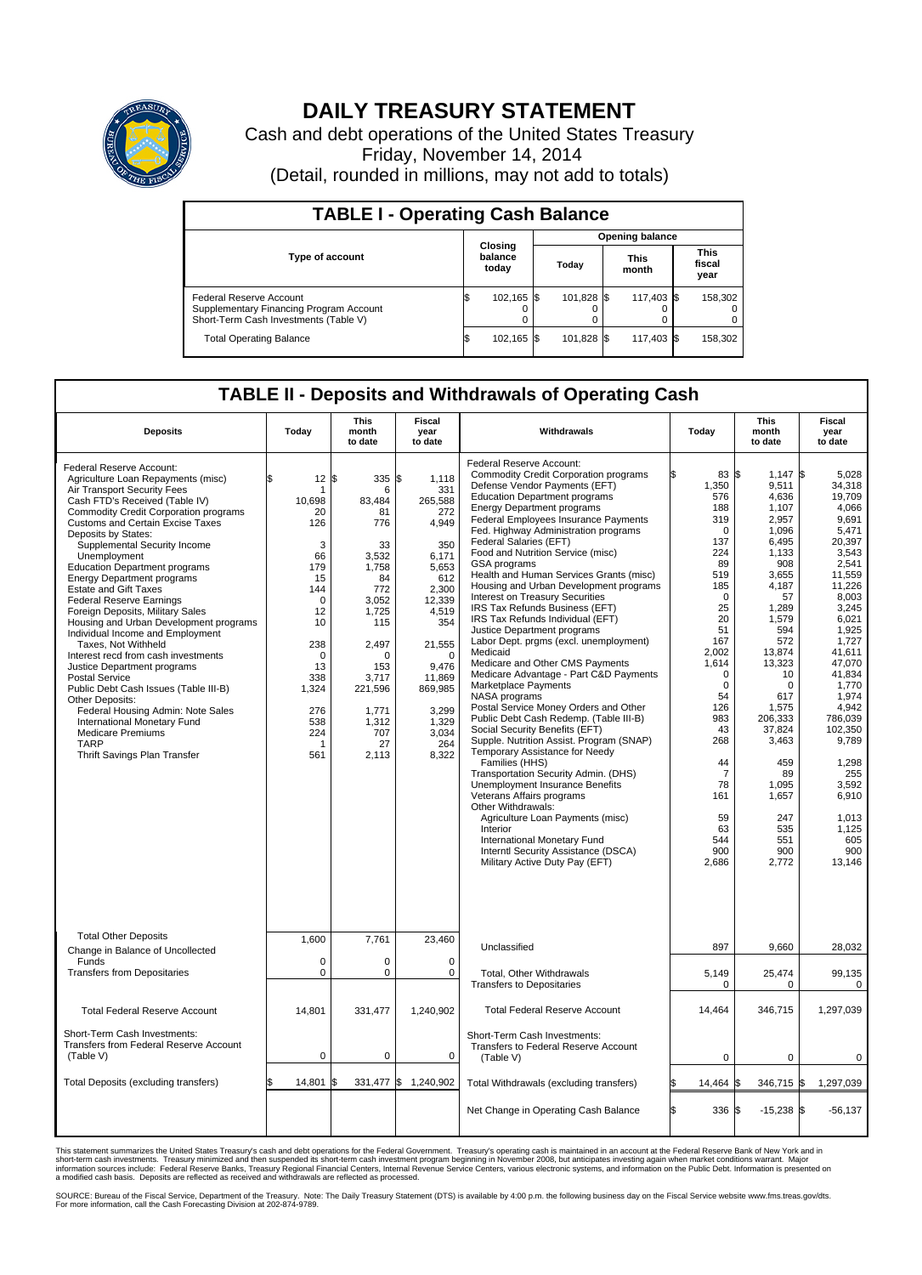

## **DAILY TREASURY STATEMENT**

Cash and debt operations of the United States Treasury Friday, November 14, 2014 (Detail, rounded in millions, may not add to totals)

| <b>TABLE I - Operating Cash Balance</b>                                                                     |  |                             |       |                        |  |                      |  |                               |  |  |  |
|-------------------------------------------------------------------------------------------------------------|--|-----------------------------|-------|------------------------|--|----------------------|--|-------------------------------|--|--|--|
|                                                                                                             |  |                             |       | <b>Opening balance</b> |  |                      |  |                               |  |  |  |
| <b>Type of account</b>                                                                                      |  | Closing<br>balance<br>today | Today |                        |  | <b>This</b><br>month |  | <b>This</b><br>fiscal<br>year |  |  |  |
| Federal Reserve Account<br>Supplementary Financing Program Account<br>Short-Term Cash Investments (Table V) |  | 102,165 \$                  |       | 101,828 \$             |  | 117,403 \$           |  | 158,302                       |  |  |  |
| <b>Total Operating Balance</b>                                                                              |  | 102,165 \$                  |       | 101,828 \$             |  | 117,403 \$           |  | 158,302                       |  |  |  |

## **TABLE II - Deposits and Withdrawals of Operating Cash**

| <b>Deposits</b>                                                                                                                                                                                                                                                                                                                                                                                                                                                                                                                                                                                                                                                                                                                                                                                                                                                                               | Today                                                                                                                                                                                                   | <b>This</b><br>month<br>to date                                                                                                                                                | <b>Fiscal</b><br>year<br>to date                                                                                                                                                                                 | Withdrawals                                                                                                                                                                                                                                                                                                                                                                                                                                                                                                                                                                                                                                                                                                                                                                                                                                                                                                                                                                                                                                                                                                                                                                                                                                                                      | Today                                                                                                                                                                                                                                                                              | This<br>month<br>to date                                                                                                                                                                                                                                                                            | Fiscal<br>year<br>to date                                                                                                                                                                                                                                                                                             |
|-----------------------------------------------------------------------------------------------------------------------------------------------------------------------------------------------------------------------------------------------------------------------------------------------------------------------------------------------------------------------------------------------------------------------------------------------------------------------------------------------------------------------------------------------------------------------------------------------------------------------------------------------------------------------------------------------------------------------------------------------------------------------------------------------------------------------------------------------------------------------------------------------|---------------------------------------------------------------------------------------------------------------------------------------------------------------------------------------------------------|--------------------------------------------------------------------------------------------------------------------------------------------------------------------------------|------------------------------------------------------------------------------------------------------------------------------------------------------------------------------------------------------------------|----------------------------------------------------------------------------------------------------------------------------------------------------------------------------------------------------------------------------------------------------------------------------------------------------------------------------------------------------------------------------------------------------------------------------------------------------------------------------------------------------------------------------------------------------------------------------------------------------------------------------------------------------------------------------------------------------------------------------------------------------------------------------------------------------------------------------------------------------------------------------------------------------------------------------------------------------------------------------------------------------------------------------------------------------------------------------------------------------------------------------------------------------------------------------------------------------------------------------------------------------------------------------------|------------------------------------------------------------------------------------------------------------------------------------------------------------------------------------------------------------------------------------------------------------------------------------|-----------------------------------------------------------------------------------------------------------------------------------------------------------------------------------------------------------------------------------------------------------------------------------------------------|-----------------------------------------------------------------------------------------------------------------------------------------------------------------------------------------------------------------------------------------------------------------------------------------------------------------------|
| Federal Reserve Account:<br>Agriculture Loan Repayments (misc)<br>Air Transport Security Fees<br>Cash FTD's Received (Table IV)<br>Commodity Credit Corporation programs<br><b>Customs and Certain Excise Taxes</b><br>Deposits by States:<br>Supplemental Security Income<br>Unemployment<br><b>Education Department programs</b><br><b>Energy Department programs</b><br><b>Estate and Gift Taxes</b><br><b>Federal Reserve Earnings</b><br>Foreign Deposits, Military Sales<br>Housing and Urban Development programs<br>Individual Income and Employment<br>Taxes. Not Withheld<br>Interest recd from cash investments<br>Justice Department programs<br><b>Postal Service</b><br>Public Debt Cash Issues (Table III-B)<br>Other Deposits:<br>Federal Housing Admin: Note Sales<br>International Monetary Fund<br><b>Medicare Premiums</b><br><b>TARP</b><br>Thrift Savings Plan Transfer | $12 \text{ }$ $\text{ }$ $\text{ }$<br>\$<br>1<br>10,698<br>20<br>126<br>3<br>66<br>179<br>15<br>144<br>$\Omega$<br>12<br>10<br>238<br>$\Omega$<br>13<br>338<br>1,324<br>276<br>538<br>224<br>-1<br>561 | 335<br>6<br>83,484<br>81<br>776<br>33<br>3,532<br>1,758<br>84<br>772<br>3.052<br>1,725<br>115<br>2,497<br>0<br>153<br>3.717<br>221,596<br>1,771<br>1,312<br>707<br>27<br>2,113 | l\$<br>1,118<br>331<br>265.588<br>272<br>4,949<br>350<br>6.171<br>5,653<br>612<br>2,300<br>12,339<br>4,519<br>354<br>21,555<br>$\Omega$<br>9,476<br>11,869<br>869,985<br>3,299<br>1,329<br>3.034<br>264<br>8,322 | Federal Reserve Account:<br><b>Commodity Credit Corporation programs</b><br>Defense Vendor Payments (EFT)<br><b>Education Department programs</b><br><b>Energy Department programs</b><br><b>Federal Employees Insurance Payments</b><br>Fed. Highway Administration programs<br>Federal Salaries (EFT)<br>Food and Nutrition Service (misc)<br>GSA programs<br>Health and Human Services Grants (misc)<br>Housing and Urban Development programs<br>Interest on Treasury Securities<br>IRS Tax Refunds Business (EFT)<br>IRS Tax Refunds Individual (EFT)<br>Justice Department programs<br>Labor Dept. prgms (excl. unemployment)<br>Medicaid<br>Medicare and Other CMS Payments<br>Medicare Advantage - Part C&D Payments<br>Marketplace Payments<br>NASA programs<br>Postal Service Money Orders and Other<br>Public Debt Cash Redemp. (Table III-B)<br>Social Security Benefits (EFT)<br>Supple. Nutrition Assist. Program (SNAP)<br>Temporary Assistance for Needy<br>Families (HHS)<br>Transportation Security Admin. (DHS)<br>Unemployment Insurance Benefits<br>Veterans Affairs programs<br>Other Withdrawals:<br>Agriculture Loan Payments (misc)<br>Interior<br>International Monetary Fund<br>Interntl Security Assistance (DSCA)<br>Military Active Duty Pay (EFT) | 83 \$<br>1,350<br>576<br>188<br>319<br>$\Omega$<br>137<br>224<br>89<br>519<br>185<br>$\mathbf 0$<br>25<br>20<br>51<br>167<br>2,002<br>1,614<br>$\mathbf 0$<br>$\mathbf 0$<br>54<br>126<br>983<br>43<br>268<br>44<br>$\overline{7}$<br>78<br>161<br>59<br>63<br>544<br>900<br>2,686 | $1,147$ \$<br>9,511<br>4,636<br>1,107<br>2,957<br>1,096<br>6.495<br>1,133<br>908<br>3,655<br>4.187<br>57<br>1,289<br>1,579<br>594<br>572<br>13,874<br>13,323<br>10<br>$\mathbf 0$<br>617<br>1,575<br>206,333<br>37,824<br>3,463<br>459<br>89<br>1.095<br>1,657<br>247<br>535<br>551<br>900<br>2,772 | 5,028<br>34,318<br>19.709<br>4,066<br>9,691<br>5,471<br>20.397<br>3,543<br>2,541<br>11,559<br>11.226<br>8,003<br>3,245<br>6,021<br>1,925<br>1,727<br>41.611<br>47.070<br>41,834<br>1,770<br>1.974<br>4.942<br>786,039<br>102,350<br>9,789<br>1,298<br>255<br>3.592<br>6,910<br>1,013<br>1,125<br>605<br>900<br>13,146 |
| <b>Total Other Deposits</b><br>Change in Balance of Uncollected<br>Funds<br><b>Transfers from Depositaries</b>                                                                                                                                                                                                                                                                                                                                                                                                                                                                                                                                                                                                                                                                                                                                                                                | 1,600<br>$\mathbf 0$<br>$\mathbf 0$                                                                                                                                                                     | 7,761<br>0<br>0                                                                                                                                                                | 23,460<br>$\Omega$<br>0                                                                                                                                                                                          | Unclassified<br>Total, Other Withdrawals                                                                                                                                                                                                                                                                                                                                                                                                                                                                                                                                                                                                                                                                                                                                                                                                                                                                                                                                                                                                                                                                                                                                                                                                                                         | 897<br>5,149                                                                                                                                                                                                                                                                       | 9,660<br>25,474                                                                                                                                                                                                                                                                                     | 28,032<br>99,135                                                                                                                                                                                                                                                                                                      |
| <b>Total Federal Reserve Account</b>                                                                                                                                                                                                                                                                                                                                                                                                                                                                                                                                                                                                                                                                                                                                                                                                                                                          | 14,801                                                                                                                                                                                                  | 331,477                                                                                                                                                                        | 1,240,902                                                                                                                                                                                                        | <b>Transfers to Depositaries</b><br><b>Total Federal Reserve Account</b>                                                                                                                                                                                                                                                                                                                                                                                                                                                                                                                                                                                                                                                                                                                                                                                                                                                                                                                                                                                                                                                                                                                                                                                                         | $\mathbf 0$<br>14,464                                                                                                                                                                                                                                                              | 0<br>346,715                                                                                                                                                                                                                                                                                        | $\mathbf 0$<br>1,297,039                                                                                                                                                                                                                                                                                              |
| Short-Term Cash Investments:<br>Transfers from Federal Reserve Account<br>(Table V)                                                                                                                                                                                                                                                                                                                                                                                                                                                                                                                                                                                                                                                                                                                                                                                                           | $\pmb{0}$                                                                                                                                                                                               | 0                                                                                                                                                                              | $\mathbf 0$                                                                                                                                                                                                      | Short-Term Cash Investments:<br>Transfers to Federal Reserve Account<br>(Table V)                                                                                                                                                                                                                                                                                                                                                                                                                                                                                                                                                                                                                                                                                                                                                                                                                                                                                                                                                                                                                                                                                                                                                                                                | $\mathbf 0$                                                                                                                                                                                                                                                                        | $\mathbf 0$                                                                                                                                                                                                                                                                                         | $\mathbf 0$                                                                                                                                                                                                                                                                                                           |
| Total Deposits (excluding transfers)                                                                                                                                                                                                                                                                                                                                                                                                                                                                                                                                                                                                                                                                                                                                                                                                                                                          | 14,801<br>\$                                                                                                                                                                                            | ß.                                                                                                                                                                             | 331,477 \$ 1,240,902                                                                                                                                                                                             | Total Withdrawals (excluding transfers)                                                                                                                                                                                                                                                                                                                                                                                                                                                                                                                                                                                                                                                                                                                                                                                                                                                                                                                                                                                                                                                                                                                                                                                                                                          | 14,464 \$                                                                                                                                                                                                                                                                          | 346,715 \$                                                                                                                                                                                                                                                                                          | 1,297,039                                                                                                                                                                                                                                                                                                             |
|                                                                                                                                                                                                                                                                                                                                                                                                                                                                                                                                                                                                                                                                                                                                                                                                                                                                                               |                                                                                                                                                                                                         |                                                                                                                                                                                |                                                                                                                                                                                                                  | Net Change in Operating Cash Balance                                                                                                                                                                                                                                                                                                                                                                                                                                                                                                                                                                                                                                                                                                                                                                                                                                                                                                                                                                                                                                                                                                                                                                                                                                             | l\$<br>336 \$                                                                                                                                                                                                                                                                      | $-15,238$ \$                                                                                                                                                                                                                                                                                        | $-56, 137$                                                                                                                                                                                                                                                                                                            |

This statement summarizes the United States Treasury's cash and debt operations for the Federal Government. Treasury's operating cash is maintained in an account at the Federal Reserve Bank of New York and in<br>short-term ca

SOURCE: Bureau of the Fiscal Service, Department of the Treasury. Note: The Daily Treasury Statement (DTS) is available by 4:00 p.m. the following business day on the Fiscal Service website www.fms.treas.gov/dts.<br>For more